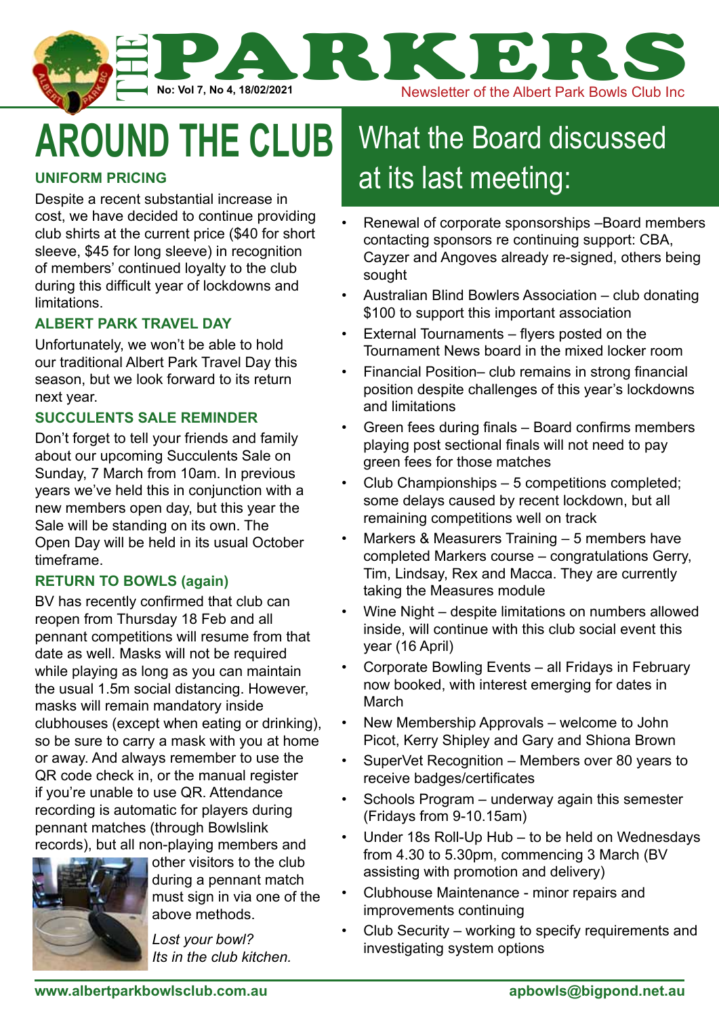

## **around the club**

#### **Uniform Pricing**

Despite a recent substantial increase in cost, we have decided to continue providing club shirts at the current price (\$40 for short sleeve, \$45 for long sleeve) in recognition of members' continued loyalty to the club during this difficult year of lockdowns and limitations.

#### **Albert Park Travel Day**

Unfortunately, we won't be able to hold our traditional Albert Park Travel Day this season, but we look forward to its return next year.

#### **Succulents Sale Reminder**

Don't forget to tell your friends and family about our upcoming Succulents Sale on Sunday, 7 March from 10am. In previous years we've held this in conjunction with a new members open day, but this year the Sale will be standing on its own. The Open Day will be held in its usual October timeframe.

#### **Return to Bowls (again)**

BV has recently confirmed that club can reopen from Thursday 18 Feb and all pennant competitions will resume from that date as well. Masks will not be required while playing as long as you can maintain the usual 1.5m social distancing. However, masks will remain mandatory inside clubhouses (except when eating or drinking), so be sure to carry a mask with you at home or away. And always remember to use the QR code check in, or the manual register if you're unable to use QR. Attendance recording is automatic for players during pennant matches (through Bowlslink records), but all non-playing members and



other visitors to the club during a pennant match must sign in via one of the above methods.

*Its in the club kitchen.*

### What the Board discussed at its last meeting:

- Renewal of corporate sponsorships –Board members contacting sponsors re continuing support: CBA, Cayzer and Angoves already re-signed, others being sought
- Australian Blind Bowlers Association club donating \$100 to support this important association
- External Tournaments flyers posted on the Tournament News board in the mixed locker room
- Financial Position– club remains in strong financial position despite challenges of this year's lockdowns and limitations
- Green fees during finals Board confirms members playing post sectional finals will not need to pay green fees for those matches
- Club Championships 5 competitions completed; some delays caused by recent lockdown, but all remaining competitions well on track
- Markers & Measurers Training 5 members have completed Markers course – congratulations Gerry, Tim, Lindsay, Rex and Macca. They are currently taking the Measures module
- Wine Night despite limitations on numbers allowed inside, will continue with this club social event this year (16 April)
- Corporate Bowling Events all Fridays in February now booked, with interest emerging for dates in **March**
- New Membership Approvals welcome to John Picot, Kerry Shipley and Gary and Shiona Brown
- SuperVet Recognition Members over 80 years to receive badges/certificates
- Schools Program underway again this semester (Fridays from 9-10.15am)
- Under 18s Roll-Up Hub to be held on Wednesdays from 4.30 to 5.30pm, commencing 3 March (BV assisting with promotion and delivery)
- Clubhouse Maintenance minor repairs and improvements continuing
- Club Security working to specify requirements and investigating system options *Lost your bowl?*